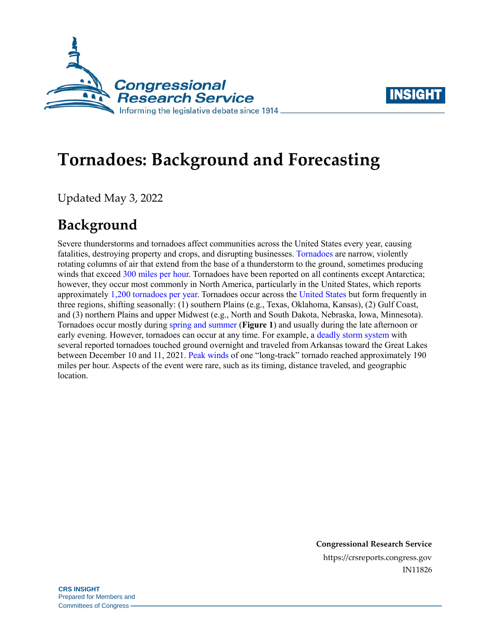



# **Tornadoes: Background and Forecasting**

Updated May 3, 2022

## **Background**

Severe thunderstorms and tornadoes affect communities across the United States every year, causing fatalities, destroying property and crops, and disrupting businesses. [Tornadoes](https://www.nssl.noaa.gov/education/svrwx101/tornadoes/) are narrow, violently rotating columns of air that extend from the base of a thunderstorm to the ground, sometimes producing winds that exceed [300 miles per hour.](https://www.nssl.noaa.gov/education/svrwx101/tornadoes/faq/) Tornadoes have been reported on all continents except Antarctica; however, they occur most commonly in North America, particularly in the United States, which reports approximately [1,200 tornadoes per year.](https://www.nssl.noaa.gov/education/svrwx101/tornadoes/) Tornadoes occur across th[e United States](https://www.nssl.noaa.gov/education/svrwx101/tornadoes/faq/) but form frequently in three regions, shifting seasonally: (1) southern Plains (e.g., Texas, Oklahoma, Kansas), (2) Gulf Coast, and (3) northern Plains and upper Midwest (e.g., North and South Dakota, Nebraska, Iowa, Minnesota). Tornadoes occur mostly during [spring and summer](https://www.nssl.noaa.gov/education/svrwx101/tornadoes/) (**[Figure 1](#page-1-0)**) and usually during the late afternoon or early evening. However, tornadoes can occur at any time. For example, a [deadly storm system](https://www.weather.gov/crh/dec112021) with several reported tornadoes touched ground overnight and traveled from Arkansas toward the Great Lakes between December 10 and 11, 2021. [Peak winds](https://www.weather.gov/crh/dec112021) of one "long-track" tornado reached approximately 190 miles per hour. Aspects of the event were rare, such as its timing, distance traveled, and geographic location.

> **Congressional Research Service** https://crsreports.congress.gov IN11826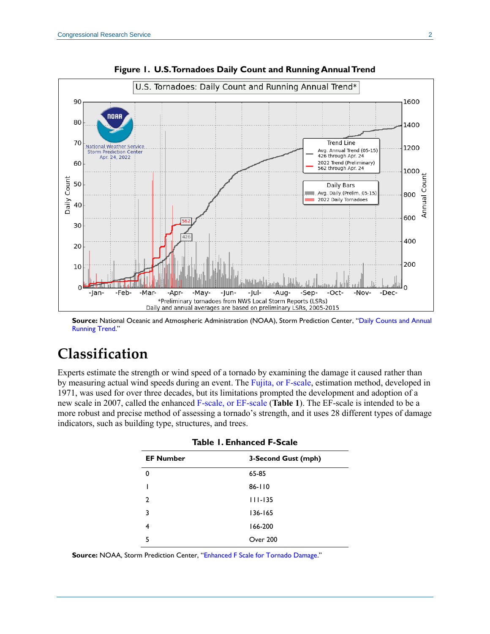<span id="page-1-0"></span>

**Figure 1. U.S. Tornadoes Daily Count and Running Annual Trend**

**Source:** National Oceanic and Atmospheric Administration (NOAA), Storm Prediction Center, "[Daily Counts and Annual](https://www.spc.noaa.gov/wcm/)  [Running Trend](https://www.spc.noaa.gov/wcm/)."

### **Classification**

<span id="page-1-1"></span>Experts estimate the strength or wind speed of a tornado by examining the damage it caused rather than by measuring actual wind speeds during an event. The Fujita, [or F-scale,](https://www.spc.noaa.gov/efscale/) estimation method, developed in 1971, was used for over three decades, but its limitations prompted the development and adoption of a new scale in 2007, called the enhanced F-scale, [or EF-scale](http://www.spc.noaa.gov/faq/tornado/index.html#f-scale3) (**[Table 1](#page-1-1)**). The EF-scale is intended to be a more robust and precise method of assessing a tornado's strength, and it uses 28 different types of damage indicators, such as building type, structures, and trees.

| <b>EF Number</b> | 3-Second Gust (mph) |  |  |
|------------------|---------------------|--|--|
| 0                | 65-85               |  |  |
|                  | 86-110              |  |  |
| $\overline{2}$   | $111 - 135$         |  |  |
| 3                | $136 - 165$         |  |  |
| 4                | 166-200             |  |  |
| 5                | Over 200            |  |  |

|  |  | <b>Table 1. Enhanced F-Scale</b> |  |
|--|--|----------------------------------|--|
|--|--|----------------------------------|--|

**Source:** NOAA, Storm Prediction Center, "[Enhanced F Scale for Tornado Damage](https://www.spc.noaa.gov/faq/tornado/ef-scale.html)."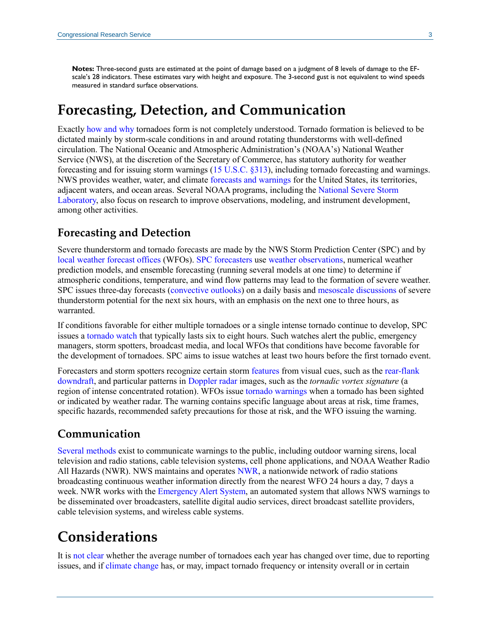**Notes:** Three-second gusts are estimated at the point of damage based on a judgment of 8 levels of damage to the EFscale's 28 indicators. These estimates vary with height and exposure. The 3-second gust is not equivalent to wind speeds measured in standard surface observations.

### **Forecasting, Detection, and Communication**

Exactly [how and why](https://www.nssl.noaa.gov/education/svrwx101/tornadoes/) tornadoes form is not completely understood. Tornado formation is believed to be dictated mainly by storm-scale conditions in and around rotating thunderstorms with well-defined circulation. The National Oceanic and Atmospheric Administration's (NOAA's) National Weather Service (NWS), at the discretion of the Secretary of Commerce, has statutory authority for weather forecasting and for issuing storm warnings [\(15 U.S.C. §313\)](https://uscode.house.gov/view.xhtml?req=(title:15%20section:313%20edition:prelim)%20OR%20(granuleid:USC-prelim-title15-section313)&f=treesort&edition=prelim&num=0&jumpTo=true), including tornado forecasting and warnings. NWS provides weather, water, and climate [forecasts and warnings](https://www.weather.gov/about/nws) for the United States, its territories, adjacent waters, and ocean areas. Several NOAA programs, including the [National Severe Storm](https://www.nssl.noaa.gov/research/tornadoes/)  [Laboratory,](https://www.nssl.noaa.gov/research/tornadoes/) also focus on research to improve observations, modeling, and instrument development, among other activities.

#### **Forecasting and Detection**

Severe thunderstorm and tornado forecasts are made by the NWS Storm Prediction Center (SPC) and by [local weather forecast offices](https://www.weather.gov/srh/nwsoffices) (WFOs). [SPC forecasters](https://www.nssl.noaa.gov/education/svrwx101/tornadoes/forecasting/) use [weather observations,](https://www.nssl.noaa.gov/tools/observation/) numerical weather prediction models, and ensemble forecasting (running several models at one time) to determine if atmospheric conditions, temperature, and wind flow patterns may lead to the formation of severe weather. SPC issues three-day forecasts [\(convective outlooks\)](https://www.spc.noaa.gov/misc/about.html) on a daily basis and [mesoscale discussions](https://www.spc.noaa.gov/misc/about.html) of severe thunderstorm potential for the next six hours, with an emphasis on the next one to three hours, as warranted.

If conditions favorable for either multiple tornadoes or a single intense tornado continue to develop, SPC issues [a tornado watch](https://www.spc.noaa.gov/misc/about.html) that typically lasts six to eight hours. Such watches alert the public, emergency managers, storm spotters, broadcast media, and local WFOs that conditions have become favorable for the development of tornadoes. SPC aims to issue watches at least two hours before the first tornado event.

Forecasters and storm spotters recognize certain storm [features f](https://www.nssl.noaa.gov/education/svrwx101/tornadoes/detection/)rom visual cues, such as the [rear-flank](https://www.nssl.noaa.gov/education/svrwx101/tornadoes/)  [downdraft,](https://www.nssl.noaa.gov/education/svrwx101/tornadoes/) and particular patterns in [Doppler radar](https://www.spc.noaa.gov/faq/tornado/doppler.htm) images, such as the *tornadic vortex signature* (a region of intense concentrated rotation). WFOs issue [tornado warnings](https://www.weather.gov/safety/tornado-ww) when a tornado has been sighted or indicated by weather radar. The warning contains specific language about areas at risk, time frames, specific hazards, recommended safety precautions for those at risk, and the WFO issuing the warning.

#### **Communication**

[Several methods](https://www.weather.gov/unr/Warning_Systems) exist to communicate warnings to the public, including outdoor warning sirens, local television and radio stations, cable television systems, cell phone applications, and NOAA Weather Radio All Hazards (NWR). NWS maintains and operates [NWR,](https://www.weather.gov/nwr/) a nationwide network of radio stations broadcasting continuous weather information directly from the nearest WFO 24 hours a day, 7 days a week. NWR works with the [Emergency Alert System,](https://www.ready.gov/alerts) an automated system that allows NWS warnings to be disseminated over broadcasters, satellite digital audio services, direct broadcast satellite providers, cable television systems, and wireless cable systems.

### **Considerations**

It is [not clear](https://www.spc.noaa.gov/faq/tornado/#History) whether the average number of tornadoes each year has changed over time, due to reporting issues, and if [climate](https://science2017.globalchange.gov/chapter/9/) change has, or may, impact tornado frequency or intensity overall or in certain